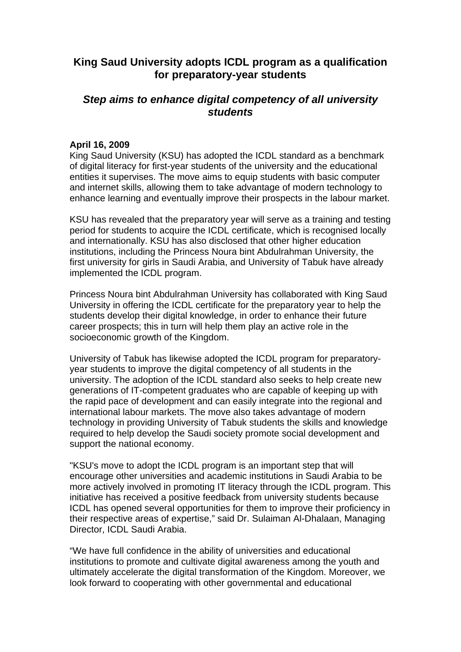## **King Saud University adopts ICDL program as a qualification for preparatory-year students**

## *Step aims to enhance digital competency of all university students*

## **April 16, 2009**

King Saud University (KSU) has adopted the ICDL standard as a benchmark of digital literacy for first-year students of the university and the educational entities it supervises. The move aims to equip students with basic computer and internet skills, allowing them to take advantage of modern technology to enhance learning and eventually improve their prospects in the labour market.

KSU has revealed that the preparatory year will serve as a training and testing period for students to acquire the ICDL certificate, which is recognised locally and internationally. KSU has also disclosed that other higher education institutions, including the Princess Noura bint Abdulrahman University, the first university for girls in Saudi Arabia, and University of Tabuk have already implemented the ICDL program.

Princess Noura bint Abdulrahman University has collaborated with King Saud University in offering the ICDL certificate for the preparatory year to help the students develop their digital knowledge, in order to enhance their future career prospects; this in turn will help them play an active role in the socioeconomic growth of the Kingdom.

University of Tabuk has likewise adopted the ICDL program for preparatoryyear students to improve the digital competency of all students in the university. The adoption of the ICDL standard also seeks to help create new generations of IT-competent graduates who are capable of keeping up with the rapid pace of development and can easily integrate into the regional and international labour markets. The move also takes advantage of modern technology in providing University of Tabuk students the skills and knowledge required to help develop the Saudi society promote social development and support the national economy.

"KSU's move to adopt the ICDL program is an important step that will encourage other universities and academic institutions in Saudi Arabia to be more actively involved in promoting IT literacy through the ICDL program. This initiative has received a positive feedback from university students because ICDL has opened several opportunities for them to improve their proficiency in their respective areas of expertise," said Dr. Sulaiman Al-Dhalaan, Managing Director, ICDL Saudi Arabia.

"We have full confidence in the ability of universities and educational institutions to promote and cultivate digital awareness among the youth and ultimately accelerate the digital transformation of the Kingdom. Moreover, we look forward to cooperating with other governmental and educational